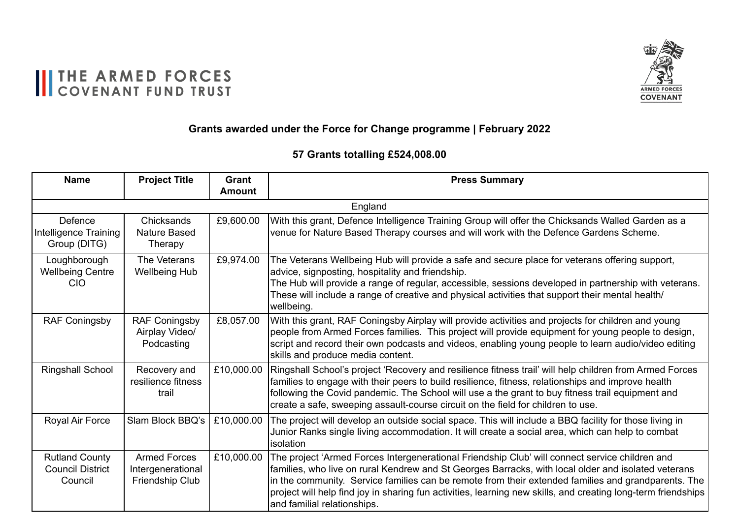

#### THE ARMED FORCES

#### **Grants awarded under the Force for Change programme | February 2022**

#### **Grants awarded under the Tackling Loneliness programme 2020/21 February 2021 57 Grants totalling £524,008.00**

| <b>Name</b>                                                 | <b>Project Title</b>                                        | <b>Grant</b><br><b>Amount</b> | <b>Press Summary</b>                                                                                                                                                                                                                                                                                                                                                                                                                                         |
|-------------------------------------------------------------|-------------------------------------------------------------|-------------------------------|--------------------------------------------------------------------------------------------------------------------------------------------------------------------------------------------------------------------------------------------------------------------------------------------------------------------------------------------------------------------------------------------------------------------------------------------------------------|
|                                                             |                                                             |                               | England                                                                                                                                                                                                                                                                                                                                                                                                                                                      |
| Defence<br><b>Intelligence Training</b><br>Group (DITG)     | Chicksands<br><b>Nature Based</b><br>Therapy                | £9,600.00                     | With this grant, Defence Intelligence Training Group will offer the Chicksands Walled Garden as a<br>venue for Nature Based Therapy courses and will work with the Defence Gardens Scheme.                                                                                                                                                                                                                                                                   |
| Loughborough<br><b>Wellbeing Centre</b><br><b>CIO</b>       | The Veterans<br><b>Wellbeing Hub</b>                        | £9,974.00                     | The Veterans Wellbeing Hub will provide a safe and secure place for veterans offering support,<br>advice, signposting, hospitality and friendship.<br>The Hub will provide a range of regular, accessible, sessions developed in partnership with veterans.<br>These will include a range of creative and physical activities that support their mental health/<br>wellbeing.                                                                                |
| <b>RAF Coningsby</b>                                        | <b>RAF Coningsby</b><br>Airplay Video/<br>Podcasting        | £8,057.00                     | With this grant, RAF Coningsby Airplay will provide activities and projects for children and young<br>people from Armed Forces families. This project will provide equipment for young people to design,<br>script and record their own podcasts and videos, enabling young people to learn audio/video editing<br>skills and produce media content.                                                                                                         |
| <b>Ringshall School</b>                                     | Recovery and<br>resilience fitness<br>trail                 | £10,000.00                    | Ringshall School's project 'Recovery and resilience fitness trail' will help children from Armed Forces<br>families to engage with their peers to build resilience, fitness, relationships and improve health<br>following the Covid pandemic. The School will use a the grant to buy fitness trail equipment and<br>create a safe, sweeping assault-course circuit on the field for children to use.                                                        |
| Royal Air Force                                             | Slam Block BBQ's                                            | £10,000.00                    | The project will develop an outside social space. This will include a BBQ facility for those living in<br>Junior Ranks single living accommodation. It will create a social area, which can help to combat<br>isolation                                                                                                                                                                                                                                      |
| <b>Rutland County</b><br><b>Council District</b><br>Council | <b>Armed Forces</b><br>Intergenerational<br>Friendship Club | £10,000.00                    | The project 'Armed Forces Intergenerational Friendship Club' will connect service children and<br>families, who live on rural Kendrew and St Georges Barracks, with local older and isolated veterans<br>in the community. Service families can be remote from their extended families and grandparents. The<br>project will help find joy in sharing fun activities, learning new skills, and creating long-term friendships<br>and familial relationships. |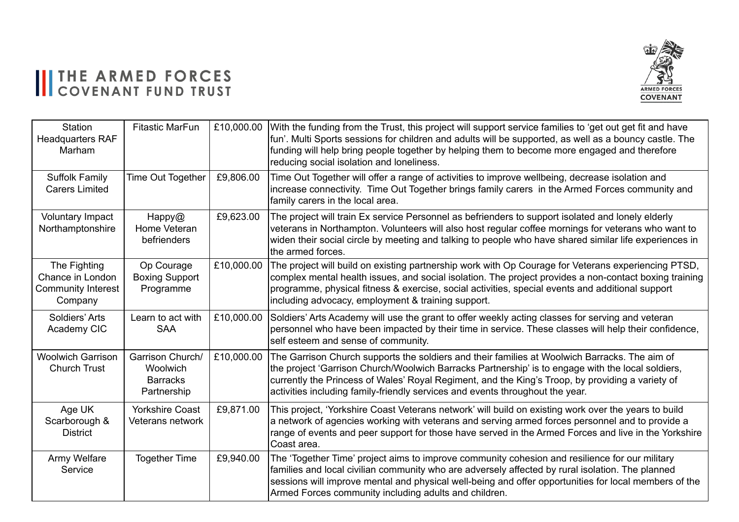#### II THE ARMED FORCES



| Station<br><b>Headquarters RAF</b><br>Marham                             | <b>Fitastic MarFun</b>                                         | £10,000.00 | With the funding from the Trust, this project will support service families to 'get out get fit and have<br>fun'. Multi Sports sessions for children and adults will be supported, as well as a bouncy castle. The<br>funding will help bring people together by helping them to become more engaged and therefore<br>reducing social isolation and loneliness.                         |
|--------------------------------------------------------------------------|----------------------------------------------------------------|------------|-----------------------------------------------------------------------------------------------------------------------------------------------------------------------------------------------------------------------------------------------------------------------------------------------------------------------------------------------------------------------------------------|
| <b>Suffolk Family</b><br><b>Carers Limited</b>                           | Time Out Together                                              | £9,806.00  | Time Out Together will offer a range of activities to improve wellbeing, decrease isolation and<br>increase connectivity. Time Out Together brings family carers in the Armed Forces community and<br>family carers in the local area.                                                                                                                                                  |
| <b>Voluntary Impact</b><br>Northamptonshire                              | Happy@<br>Home Veteran<br>befrienders                          | £9,623.00  | The project will train Ex service Personnel as befrienders to support isolated and lonely elderly<br>veterans in Northampton. Volunteers will also host regular coffee mornings for veterans who want to<br>widen their social circle by meeting and talking to people who have shared similar life experiences in<br>the armed forces.                                                 |
| The Fighting<br>Chance in London<br><b>Community Interest</b><br>Company | Op Courage<br><b>Boxing Support</b><br>Programme               | £10,000.00 | The project will build on existing partnership work with Op Courage for Veterans experiencing PTSD,<br>complex mental health issues, and social isolation. The project provides a non-contact boxing training<br>programme, physical fitness & exercise, social activities, special events and additional support<br>including advocacy, employment & training support.                 |
| Soldiers' Arts<br>Academy CIC                                            | Learn to act with<br><b>SAA</b>                                | £10,000.00 | Soldiers' Arts Academy will use the grant to offer weekly acting classes for serving and veteran<br>personnel who have been impacted by their time in service. These classes will help their confidence,<br>self esteem and sense of community.                                                                                                                                         |
| <b>Woolwich Garrison</b><br><b>Church Trust</b>                          | Garrison Church/<br>Woolwich<br><b>Barracks</b><br>Partnership | £10,000.00 | The Garrison Church supports the soldiers and their families at Woolwich Barracks. The aim of<br>the project 'Garrison Church/Woolwich Barracks Partnership' is to engage with the local soldiers,<br>currently the Princess of Wales' Royal Regiment, and the King's Troop, by providing a variety of<br>activities including family-friendly services and events throughout the year. |
| Age UK<br>Scarborough &<br><b>District</b>                               | <b>Yorkshire Coast</b><br>Veterans network                     | £9,871.00  | This project, 'Yorkshire Coast Veterans network' will build on existing work over the years to build<br>a network of agencies working with veterans and serving armed forces personnel and to provide a<br>range of events and peer support for those have served in the Armed Forces and live in the Yorkshire<br> Coast area.                                                         |
| Army Welfare<br>Service                                                  | <b>Together Time</b>                                           | £9,940.00  | The 'Together Time' project aims to improve community cohesion and resilience for our military<br>families and local civilian community who are adversely affected by rural isolation. The planned<br>sessions will improve mental and physical well-being and offer opportunities for local members of the<br>Armed Forces community including adults and children.                    |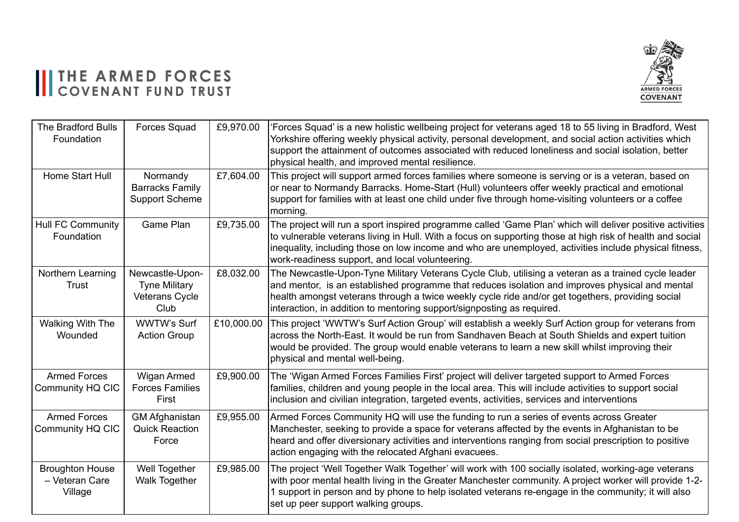#### THE ARMED FORCES



| <b>The Bradford Bulls</b><br>Foundation             | <b>Forces Squad</b>                                               | £9,970.00  | Forces Squad' is a new holistic wellbeing project for veterans aged 18 to 55 living in Bradford, West<br>Yorkshire offering weekly physical activity, personal development, and social action activities which<br>support the attainment of outcomes associated with reduced loneliness and social isolation, better<br>physical health, and improved mental resilience.             |
|-----------------------------------------------------|-------------------------------------------------------------------|------------|--------------------------------------------------------------------------------------------------------------------------------------------------------------------------------------------------------------------------------------------------------------------------------------------------------------------------------------------------------------------------------------|
| Home Start Hull                                     | Normandy<br><b>Barracks Family</b><br><b>Support Scheme</b>       | £7,604.00  | This project will support armed forces families where someone is serving or is a veteran, based on<br>or near to Normandy Barracks. Home-Start (Hull) volunteers offer weekly practical and emotional<br>support for families with at least one child under five through home-visiting volunteers or a coffee<br>morning.                                                            |
| <b>Hull FC Community</b><br>Foundation              | Game Plan                                                         | £9,735.00  | The project will run a sport inspired programme called 'Game Plan' which will deliver positive activities<br>to vulnerable veterans living in Hull. With a focus on supporting those at high risk of health and social<br>inequality, including those on low income and who are unemployed, activities include physical fitness,<br>work-readiness support, and local volunteering.  |
| Northern Learning<br><b>Trust</b>                   | Newcastle-Upon-<br><b>Tyne Military</b><br>Veterans Cycle<br>Club | £8,032.00  | The Newcastle-Upon-Tyne Military Veterans Cycle Club, utilising a veteran as a trained cycle leader<br>and mentor, is an established programme that reduces isolation and improves physical and mental<br>health amongst veterans through a twice weekly cycle ride and/or get togethers, providing social<br>interaction, in addition to mentoring support/signposting as required. |
| Walking With The<br>Wounded                         | WWTW's Surf<br><b>Action Group</b>                                | £10,000.00 | This project 'WWTW's Surf Action Group' will establish a weekly Surf Action group for veterans from<br>across the North-East. It would be run from Sandhaven Beach at South Shields and expert tuition<br>would be provided. The group would enable veterans to learn a new skill whilst improving their<br>physical and mental well-being.                                          |
| <b>Armed Forces</b><br>Community HQ CIC             | Wigan Armed<br><b>Forces Families</b><br>First                    | £9,900.00  | The 'Wigan Armed Forces Families First' project will deliver targeted support to Armed Forces<br>families, children and young people in the local area. This will include activities to support social<br>inclusion and civilian integration, targeted events, activities, services and interventions                                                                                |
| <b>Armed Forces</b><br>Community HQ CIC             | <b>GM Afghanistan</b><br><b>Quick Reaction</b><br>Force           | £9,955.00  | Armed Forces Community HQ will use the funding to run a series of events across Greater<br>Manchester, seeking to provide a space for veterans affected by the events in Afghanistan to be<br>heard and offer diversionary activities and interventions ranging from social prescription to positive<br>action engaging with the relocated Afghani evacuees.                         |
| <b>Broughton House</b><br>- Veteran Care<br>Village | Well Together<br><b>Walk Together</b>                             | £9,985.00  | The project 'Well Together Walk Together' will work with 100 socially isolated, working-age veterans<br>with poor mental health living in the Greater Manchester community. A project worker will provide 1-2-<br>1 support in person and by phone to help isolated veterans re-engage in the community; it will also<br>set up peer support walking groups.                         |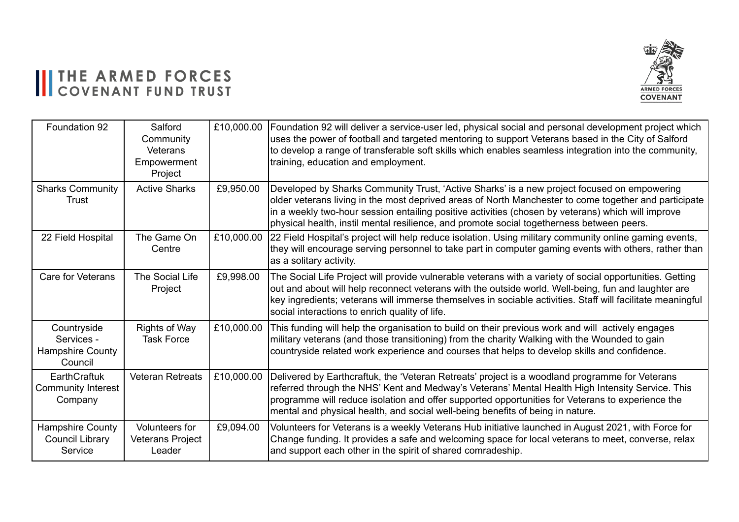# III THE ARMED FORCES



| Foundation 92                                                   | Salford<br>Community<br>Veterans<br>Empowerment<br>Project | £10,000.00 | Foundation 92 will deliver a service-user led, physical social and personal development project which<br>uses the power of football and targeted mentoring to support Veterans based in the City of Salford<br>to develop a range of transferable soft skills which enables seamless integration into the community,<br>training, education and employment.                                             |
|-----------------------------------------------------------------|------------------------------------------------------------|------------|---------------------------------------------------------------------------------------------------------------------------------------------------------------------------------------------------------------------------------------------------------------------------------------------------------------------------------------------------------------------------------------------------------|
| <b>Sharks Community</b><br>Trust                                | <b>Active Sharks</b>                                       | £9,950.00  | Developed by Sharks Community Trust, 'Active Sharks' is a new project focused on empowering<br>older veterans living in the most deprived areas of North Manchester to come together and participate<br>in a weekly two-hour session entailing positive activities (chosen by veterans) which will improve<br>physical health, instil mental resilience, and promote social togetherness between peers. |
| 22 Field Hospital                                               | The Game On<br>Centre                                      | £10,000.00 | 22 Field Hospital's project will help reduce isolation. Using military community online gaming events,<br>they will encourage serving personnel to take part in computer gaming events with others, rather than<br>as a solitary activity.                                                                                                                                                              |
| Care for Veterans                                               | The Social Life<br>Project                                 | £9,998.00  | The Social Life Project will provide vulnerable veterans with a variety of social opportunities. Getting<br>out and about will help reconnect veterans with the outside world. Well-being, fun and laughter are<br>key ingredients; veterans will immerse themselves in sociable activities. Staff will facilitate meaningful<br>social interactions to enrich quality of life.                         |
| Countryside<br>Services -<br><b>Hampshire County</b><br>Council | <b>Rights of Way</b><br><b>Task Force</b>                  | £10,000.00 | This funding will help the organisation to build on their previous work and will actively engages<br>military veterans (and those transitioning) from the charity Walking with the Wounded to gain<br>countryside related work experience and courses that helps to develop skills and confidence.                                                                                                      |
| EarthCraftuk<br><b>Community Interest</b><br>Company            | <b>Veteran Retreats</b>                                    | £10,000.00 | Delivered by Earthcraftuk, the 'Veteran Retreats' project is a woodland programme for Veterans<br>referred through the NHS' Kent and Medway's Veterans' Mental Health High Intensity Service. This<br>programme will reduce isolation and offer supported opportunities for Veterans to experience the<br>mental and physical health, and social well-being benefits of being in nature.                |
| Hampshire County<br><b>Council Library</b><br>Service           | Volunteers for<br><b>Veterans Project</b><br>Leader        | £9,094.00  | Volunteers for Veterans is a weekly Veterans Hub initiative launched in August 2021, with Force for<br>Change funding. It provides a safe and welcoming space for local veterans to meet, converse, relax<br>and support each other in the spirit of shared comradeship.                                                                                                                                |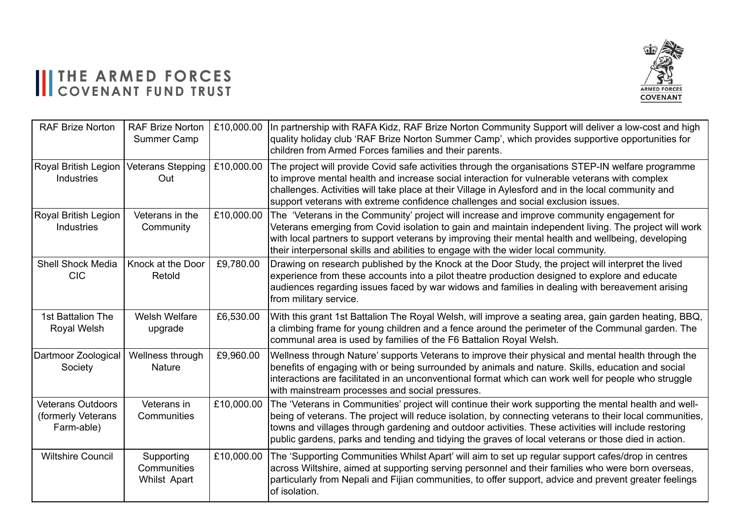#### II THE ARMED FORCES



| <b>RAF Brize Norton</b>                                      | <b>RAF Brize Norton</b><br>Summer Camp    | £10,000.00 | In partnership with RAFA Kidz, RAF Brize Norton Community Support will deliver a low-cost and high<br>quality holiday club 'RAF Brize Norton Summer Camp', which provides supportive opportunities for<br>children from Armed Forces families and their parents.                                                                                                                                                                 |
|--------------------------------------------------------------|-------------------------------------------|------------|----------------------------------------------------------------------------------------------------------------------------------------------------------------------------------------------------------------------------------------------------------------------------------------------------------------------------------------------------------------------------------------------------------------------------------|
| Royal British Legion<br>Industries                           | Veterans Stepping<br>Out                  | £10,000.00 | The project will provide Covid safe activities through the organisations STEP-IN welfare programme<br>to improve mental health and increase social interaction for vulnerable veterans with complex<br>challenges. Activities will take place at their Village in Aylesford and in the local community and<br>support veterans with extreme confidence challenges and social exclusion issues.                                   |
| Royal British Legion<br>Industries                           | Veterans in the<br>Community              | £10,000.00 | The 'Veterans in the Community' project will increase and improve community engagement for<br>Veterans emerging from Covid isolation to gain and maintain independent living. The project will work<br>with local partners to support veterans by improving their mental health and wellbeing, developing<br>their interpersonal skills and abilities to engage with the wider local community.                                  |
| <b>Shell Shock Media</b><br><b>CIC</b>                       | Knock at the Door<br>Retold               | £9,780.00  | Drawing on research published by the Knock at the Door Study, the project will interpret the lived<br>experience from these accounts into a pilot theatre production designed to explore and educate<br>audiences regarding issues faced by war widows and families in dealing with bereavement arising<br>from military service.                                                                                                |
| 1st Battalion The<br>Royal Welsh                             | <b>Welsh Welfare</b><br>upgrade           | £6,530.00  | With this grant 1st Battalion The Royal Welsh, will improve a seating area, gain garden heating, BBQ,<br>a climbing frame for young children and a fence around the perimeter of the Communal garden. The<br>communal area is used by families of the F6 Battalion Royal Welsh.                                                                                                                                                  |
| Dartmoor Zoological<br>Society                               | Wellness through<br>Nature                | £9,960.00  | Wellness through Nature' supports Veterans to improve their physical and mental health through the<br>benefits of engaging with or being surrounded by animals and nature. Skills, education and social<br>interactions are facilitated in an unconventional format which can work well for people who struggle<br>with mainstream processes and social pressures.                                                               |
| <b>Veterans Outdoors</b><br>(formerly Veterans<br>Farm-able) | Veterans in<br>Communities                | £10,000.00 | The 'Veterans in Communities' project will continue their work supporting the mental health and well-<br>being of veterans. The project will reduce isolation, by connecting veterans to their local communities,<br>towns and villages through gardening and outdoor activities. These activities will include restoring<br>public gardens, parks and tending and tidying the graves of local veterans or those died in action. |
| <b>Wiltshire Council</b>                                     | Supporting<br>Communities<br>Whilst Apart | £10,000.00 | The 'Supporting Communities Whilst Apart' will aim to set up regular support cafes/drop in centres<br>across Wiltshire, aimed at supporting serving personnel and their families who were born overseas,<br>particularly from Nepali and Fijian communities, to offer support, advice and prevent greater feelings<br>lof isolation.                                                                                             |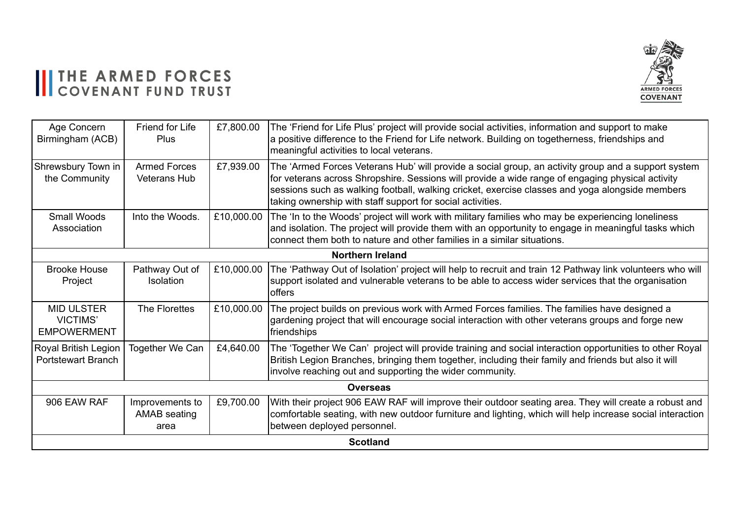## II THE ARMED FORCES



| Age Concern<br>Birmingham (ACB)                            | Friend for Life<br><b>Plus</b>          | £7,800.00  | The 'Friend for Life Plus' project will provide social activities, information and support to make<br>a positive difference to the Friend for Life network. Building on togetherness, friendships and<br>meaningful activities to local veterans.                                                                                                                        |  |
|------------------------------------------------------------|-----------------------------------------|------------|--------------------------------------------------------------------------------------------------------------------------------------------------------------------------------------------------------------------------------------------------------------------------------------------------------------------------------------------------------------------------|--|
| Shrewsbury Town in<br>the Community                        | <b>Armed Forces</b><br>Veterans Hub     | £7,939.00  | The 'Armed Forces Veterans Hub' will provide a social group, an activity group and a support system<br>for veterans across Shropshire. Sessions will provide a wide range of engaging physical activity<br>sessions such as walking football, walking cricket, exercise classes and yoga alongside members<br>taking ownership with staff support for social activities. |  |
| <b>Small Woods</b><br>Association                          | Into the Woods.                         | £10,000.00 | The 'In to the Woods' project will work with military families who may be experiencing loneliness<br>and isolation. The project will provide them with an opportunity to engage in meaningful tasks which<br>connect them both to nature and other families in a similar situations.                                                                                     |  |
|                                                            |                                         |            | <b>Northern Ireland</b>                                                                                                                                                                                                                                                                                                                                                  |  |
| <b>Brooke House</b><br>Project                             | Pathway Out of<br><b>Isolation</b>      | £10,000.00 | The 'Pathway Out of Isolation' project will help to recruit and train 12 Pathway link volunteers who will<br>support isolated and vulnerable veterans to be able to access wider services that the organisation<br>loffers                                                                                                                                               |  |
| <b>MID ULSTER</b><br><b>VICTIMS'</b><br><b>EMPOWERMENT</b> | The Florettes                           | £10,000.00 | The project builds on previous work with Armed Forces families. The families have designed a<br>gardening project that will encourage social interaction with other veterans groups and forge new<br>friendships                                                                                                                                                         |  |
| Royal British Legion<br><b>Portstewart Branch</b>          | Together We Can                         | £4,640.00  | The 'Together We Can' project will provide training and social interaction opportunities to other Royal<br>British Legion Branches, bringing them together, including their family and friends but also it will<br>involve reaching out and supporting the wider community.                                                                                              |  |
| <b>Overseas</b>                                            |                                         |            |                                                                                                                                                                                                                                                                                                                                                                          |  |
| 906 EAW RAF                                                | Improvements to<br>AMAB seating<br>area | £9,700.00  | With their project 906 EAW RAF will improve their outdoor seating area. They will create a robust and<br>comfortable seating, with new outdoor furniture and lighting, which will help increase social interaction<br>between deployed personnel.                                                                                                                        |  |
| <b>Scotland</b>                                            |                                         |            |                                                                                                                                                                                                                                                                                                                                                                          |  |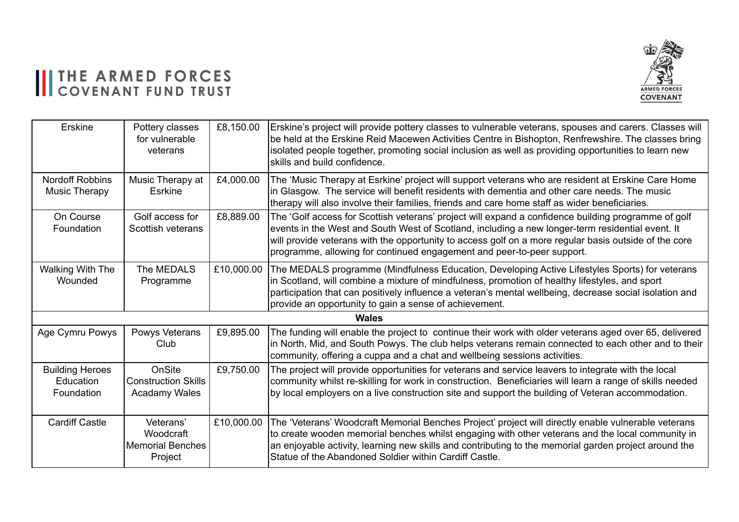#### ARMED FORCES **COVENANT**

### III THE ARMED FORCES

| Erskine                                           | Pottery classes<br>for vulnerable<br>veterans                | £8,150.00  | Erskine's project will provide pottery classes to vulnerable veterans, spouses and carers. Classes will<br>be held at the Erskine Reid Macewen Activities Centre in Bishopton, Renfrewshire. The classes bring<br>isolated people together, promoting social inclusion as well as providing opportunities to learn new<br>skills and build confidence.                                     |  |  |
|---------------------------------------------------|--------------------------------------------------------------|------------|--------------------------------------------------------------------------------------------------------------------------------------------------------------------------------------------------------------------------------------------------------------------------------------------------------------------------------------------------------------------------------------------|--|--|
| <b>Nordoff Robbins</b><br><b>Music Therapy</b>    | Music Therapy at<br>Esrkine                                  | £4,000.00  | The 'Music Therapy at Esrkine' project will support veterans who are resident at Erskine Care Home<br>in Glasgow. The service will benefit residents with dementia and other care needs. The music<br>therapy will also involve their families, friends and care home staff as wider beneficiaries.                                                                                        |  |  |
| On Course<br>Foundation                           | Golf access for<br>Scottish veterans                         | £8,889.00  | The 'Golf access for Scottish veterans' project will expand a confidence building programme of golf<br>events in the West and South West of Scotland, including a new longer-term residential event. It<br>will provide veterans with the opportunity to access golf on a more regular basis outside of the core<br>programme, allowing for continued engagement and peer-to-peer support. |  |  |
| Walking With The<br>Wounded                       | The MEDALS<br>Programme                                      | £10,000.00 | The MEDALS programme (Mindfulness Education, Developing Active Lifestyles Sports) for veterans<br>in Scotland, will combine a mixture of mindfulness, promotion of healthy lifestyles, and sport<br>participation that can positively influence a veteran's mental wellbeing, decrease social isolation and<br>provide an opportunity to gain a sense of achievement.                      |  |  |
|                                                   | Wales                                                        |            |                                                                                                                                                                                                                                                                                                                                                                                            |  |  |
| Age Cymru Powys                                   | Powys Veterans<br>Club                                       | £9,895.00  | The funding will enable the project to continue their work with older veterans aged over 65, delivered<br>in North, Mid, and South Powys. The club helps veterans remain connected to each other and to their<br>community, offering a cuppa and a chat and wellbeing sessions activities.                                                                                                 |  |  |
| <b>Building Heroes</b><br>Education<br>Foundation | OnSite<br><b>Construction Skills</b><br><b>Acadamy Wales</b> | £9,750.00  | The project will provide opportunities for veterans and service leavers to integrate with the local<br>community whilst re-skilling for work in construction. Beneficiaries will learn a range of skills needed<br>by local employers on a live construction site and support the building of Veteran accommodation.                                                                       |  |  |
| <b>Cardiff Castle</b>                             | Veterans'<br>Woodcraft<br><b>Memorial Benches</b><br>Project | £10,000.00 | The 'Veterans' Woodcraft Memorial Benches Project' project will directly enable vulnerable veterans<br>to create wooden memorial benches whilst engaging with other veterans and the local community in<br>an enjoyable activity, learning new skills and contributing to the memorial garden project around the<br>Statue of the Abandoned Soldier within Cardiff Castle.                 |  |  |